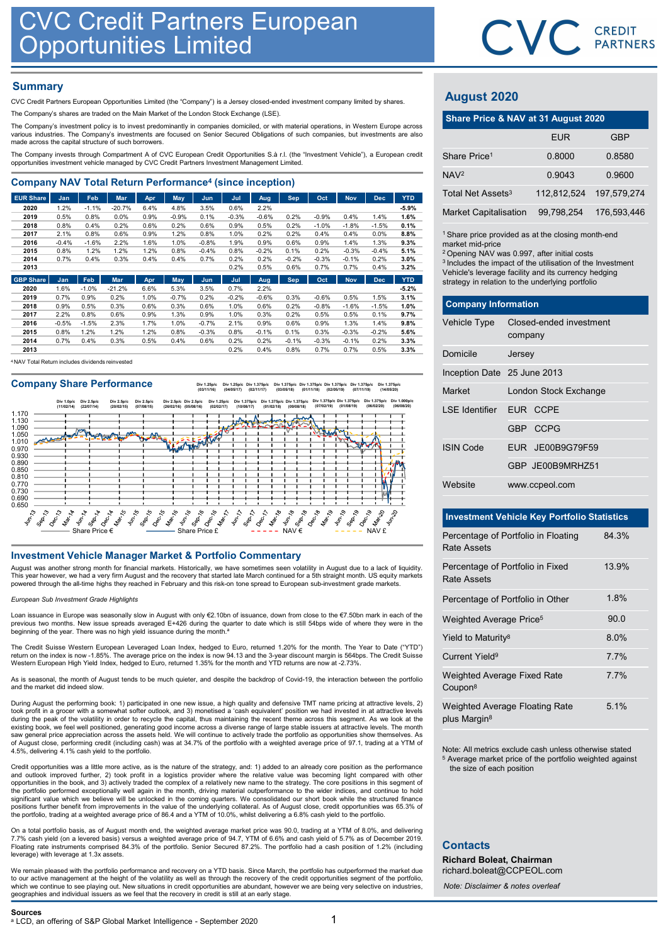### **Summary**

| Company NAV Total Return Performance <sup>4</sup> (since inception) |  |
|---------------------------------------------------------------------|--|
|---------------------------------------------------------------------|--|

| CVC Credit Partners European                                                                                                                                                                                                       |              |              | <b>Opportunities Limited</b> |              |                 |                 |                 |                 |                 |                    |                    |                 |              |                                                                                                         | <b>CVC</b> CRI |              |
|------------------------------------------------------------------------------------------------------------------------------------------------------------------------------------------------------------------------------------|--------------|--------------|------------------------------|--------------|-----------------|-----------------|-----------------|-----------------|-----------------|--------------------|--------------------|-----------------|--------------|---------------------------------------------------------------------------------------------------------|----------------|--------------|
| <b>Summary</b>                                                                                                                                                                                                                     |              |              |                              |              |                 |                 |                 |                 |                 |                    |                    |                 |              | <b>August 2020</b>                                                                                      |                |              |
| CVC Credit Partners European Opportunities Limited (the "Company") is a Jersey closed-ended investment company limited by shares.                                                                                                  |              |              |                              |              |                 |                 |                 |                 |                 |                    |                    |                 |              |                                                                                                         |                |              |
| The Company's shares are traded on the Main Market of the London Stock Exchange (LSE).<br>The Company's investment policy is to invest predominantly in companies domiciled, or with material operations, in Western Europe across |              |              |                              |              |                 |                 |                 |                 |                 |                    |                    |                 |              | Share Price & NAV at 31 August 2020                                                                     |                |              |
| various industries. The Company's investments are focused on Senior Secured Obligations of such companies, but investments are also<br>made across the capital structure of such borrowers.                                        |              |              |                              |              |                 |                 |                 |                 |                 |                    |                    |                 |              |                                                                                                         | <b>EUR</b>     |              |
| The Company invests through Compartment A of CVC European Credit Opportunities S.à r.l. (the "Investment Vehicle"), a European credit                                                                                              |              |              |                              |              |                 |                 |                 |                 |                 |                    |                    |                 |              | Share Price <sup>1</sup>                                                                                | 0.8000         | 0.           |
| opportunities investment vehicle managed by CVC Credit Partners Investment Management Limited.                                                                                                                                     |              |              |                              |              |                 |                 |                 |                 |                 |                    |                    |                 |              |                                                                                                         |                |              |
| <b>Company NAV Total Return Performance<sup>4</sup> (since inception)</b>                                                                                                                                                          |              |              |                              |              |                 |                 |                 |                 |                 |                    |                    |                 |              | NAV <sup>2</sup>                                                                                        | 0.9043         | $\mathbf{0}$ |
| <b>EUR Share</b>                                                                                                                                                                                                                   | Jan          | Feb          | <b>Mar</b>                   | Apr          | May             | <b>Jun</b>      | Jul             | Aug             | Sep             | Oct                | <b>Nov</b>         | <b>Dec</b>      | <b>YTD</b>   | Total Net Assets <sup>3</sup>                                                                           | 112,812,524    | 197,         |
| 2020                                                                                                                                                                                                                               | 1.2%         | $-1.1%$      | $-20.7%$                     | 6.4%         | 4.8%            | 3.5%            | 0.6%            | 2.2%            |                 |                    |                    |                 | $-5.9%$      | <b>Market Capitalisation</b>                                                                            | 99,798,254     | 176.         |
| 2019<br>2018                                                                                                                                                                                                                       | 0.5%<br>0.8% | 0.8%<br>0.4% | 0.0%<br>0.2%                 | 0.9%<br>0.6% | $-0.9%$<br>0.2% | 0.1%<br>0.6%    | $-0.3%$<br>0.9% | $-0.6%$<br>0.5% | 0.2%<br>0.2%    | $-0.9%$<br>$-1.0%$ | 0.4%<br>$-1.8%$    | 1.4%<br>$-1.5%$ | 1.6%<br>0.1% |                                                                                                         |                |              |
| 2017                                                                                                                                                                                                                               | 2.1%         | 0.8%         | 0.6%                         | 0.9%         | 1.2%            | 0.8%            | 1.0%            | 0.2%            | 0.2%            | 0.4%               | 0.4%               | $0.0\%$         | 8.8%         | <sup>1</sup> Share price provided as at the closing month-en                                            |                |              |
| 2016                                                                                                                                                                                                                               | $-0.4%$      | $-1.6%$      | 2.2%                         | 1.6%         | 1.0%            | $-0.8%$         | 1.9%            | 0.9%            | 0.6%            | 0.9%               | 1.4%               | 1.3%            | 9.3%         | market mid-price                                                                                        |                |              |
| 2015<br>2014                                                                                                                                                                                                                       | 0.8%<br>0.7% | 1.2%<br>0.4% | 1.2%<br>0.3%                 | 1.2%<br>0.4% | 0.8%<br>0.4%    | $-0.4%$<br>0.7% | 0.8%<br>0.2%    | $-0.2%$<br>0.2% | 0.1%<br>$-0.2%$ | 0.2%<br>$-0.3%$    | $-0.3%$<br>$-0.1%$ | $-0.4%$<br>0.2% | 5.1%<br>3.0% | <sup>2</sup> Opening NAV was 0.997, after initial costs                                                 |                |              |
| 2013                                                                                                                                                                                                                               |              |              |                              |              |                 |                 | 0.2%            | 0.5%            | 0.6%            | 0.7%               | 0.7%               | 0.4%            | 3.2%         | <sup>3</sup> Includes the impact of the utilisation of the Inves                                        |                |              |
| <b>GBP Share</b>                                                                                                                                                                                                                   | Jan          | Feb          | Mar                          | Apr          | May             | Jun             | Jul             | Aug             | <b>Sep</b>      | Oct                | <b>Nov</b>         | <b>Dec</b>      | <b>YTD</b>   | Vehicle's leverage facility and its currency hedgin<br>strategy in relation to the underlying portfolio |                |              |
| 2020                                                                                                                                                                                                                               | 1.6%         | $-1.0%$      | $-21.2%$                     | 6.6%         | 5.3%            | 3.5%            | 0.7%            | 2.2%            |                 |                    |                    |                 | $-5.2%$      |                                                                                                         |                |              |

| 2019 | 0.7%    | 0.9%    | 0.2% | 1.0% | $-0.7%$ | 0.2%    | $-0.2%$ | $-0.6%$ | 0.3%    | $-0.6%$ | 0.5%    | 1.5%    | 3.1%    |
|------|---------|---------|------|------|---------|---------|---------|---------|---------|---------|---------|---------|---------|
| 2018 | $0.9\%$ | 0.5%    | 0.3% | 0.6% | 0.3%    | 0.6%    | 1.0%    | 0.6%    | 0.2%    | $-0.8%$ | $-1.6%$ | $-1.5%$ | $1.0\%$ |
| 2017 | 2.2%    | $0.8\%$ | 0.6% | 0.9% | .3%     | 0.9%    | 1.0%    | 0.3%    | 0.2%    | 0.5%    | 0.5%    | 0.1%    | $9.7\%$ |
| 2016 | $-0.5%$ | $-1.5%$ | 2.3% | 1.7% | $.0\%$  | $-0.7%$ | 2.1%    | 0.9%    | 0.6%    | 0.9%    | 1.3%    | 1.4%    | $9.8\%$ |
| 2015 | $0.8\%$ | $.2\%$  | 1.2% | 1.2% | 0.8%    | $-0.3%$ | 0.8%    | $-0.1%$ | 0.1%    | 0.3%    | $-0.3%$ | $-0.2%$ | 5.6%    |
| 2014 | 0.7%    | 0.4%    | 0.3% | 0.5% | 0.4%    | 0.6%    | 0.2%    | 0.2%    | $-0.1%$ | $-0.3%$ | $-0.1%$ | 0.2%    | 3.3%    |
| 2013 |         |         |      |      |         |         | 0.2%    | 0.4%    | 0.8%    | 0.7%    | 0.7%    | 0.5%    | 3.3%    |

<sup>4</sup>NAV Total Return includes dividends reinvested

### Company Share Performance

Div 1.25p/c (03/11/16) Div 1.25p/c (04/05/17) Div 1.375p/c (02/11/17) Div 1.375p/c (03/05/18) Div 1.375p/c (01/11/18) Div 1.375p/c (02/05/19) Div 1.375p/c (07/11/19) Div 1.375p/c (14/05/20)



August was another strong month for financial markets. Historically, we have sometimes seen volatility in August due to a lack of liquidity. This year however, we had a very firm August and the recovery that started late March continued for a 5th straight month. US equity markets powered through the all-time highs they reached in February and this risk-on tone spread to European sub-investment grade markets.

### European Sub Investment Grade Highlights

Loan issuance in Europe was seasonally slow in August with only €2.10bn of issuance, down from close to the €7.50bn mark in each of the previous two months. New issue spreads averaged E+426 during the quarter to date which is still 54bps wide of where they were in the beginning of the year. There was no high yield issuance during the month.<sup>a</sup>

The Credit Suisse Western European Leveraged Loan Index, hedged to Euro, returned 1.20% for the month. The Year to Date ("YTD") return on the index is now -1.85%. The average price on the index is now 94.13 and the 3-year discount margin is 564bps. The Credit Suisse<br>Western European High Yield Index, hedged to Euro, returned 1.35% for the month and

As is seasonal, the month of August tends to be much quieter, and despite the backdrop of Covid-19, the interaction between the portfolio and the market did indeed slow.

During August the performing book: 1) participated in one new issue, a high quality and defensive TMT name pricing at attractive levels, 2) took profit in a grocer with a somewhat softer outlook, and 3) monetised a 'cash equivalent' position we had invested in at attractive levels during the peak of the volatility in order to recycle the capital, thus maintaining the recent theme across this segment. As we look at the existing book, we feel well positioned, generating good income across a diverse range of large stable issuers at attractive levels. The month<br>saw general price appreciation across the assets held. We will continue to activ of August close, performing credit (including cash) was at 34.7% of the portfolio with a weighted average price of 97.1, trading at a YTM of 4.5%, delivering 4.1% cash yield to the portfolio. beginner of the year. Then search they have a lateration particle station and the year of the year of the year of the control intelligence - September 2020 and the station of the control interligence - September 2020 an

Credit opportunities was a little more active, as is the nature of the strategy, and: 1) added to an already core position as the performance and outlook improved further, 2) took profit in a logistics provider where the relative value was becoming light compared with other<br>opportunities in the book, and 3) actively traded the complex of a relatively new name to the portfolio performed exceptionally well again in the month, driving material outperformance to the wider indices, and continue to hold<br>significant value which we believe will be unlocked in the coming quarters. We conso positions further benefit from improvements in the value of the underlying collateral. As of August close, credit opportunities was 65.3% of<br>the portfolio, trading at a weighted average price of 86.4 and a YTM of 10.0%, wh

On a total portfolio basis, as of August month end, the weighted average market price was 90.0, trading at a YTM of 8.0%, and delivering 7.7% cash yield (on a levered basis) versus a weighted average price of 94.7, YTM of 6.6% and cash yield of 5.7% as of December 2019.<br>Floating rate instruments comprised 84.3% of the portfolio. Senior Secured 87.2%. The po leverage) with leverage at 1.3x assets.

We remain pleased with the portfolio performance and recovery on a YTD basis. Since March, the portfolio has outperformed the market due to our active management at the height of the volatility as well as through the recovery of the credit opportunities segment of the portfolio, which we continue to see playing out. New situations in credit opportunities are abundant, however we are being very selective on industries, geographies and individual issuers as we feel that the recovery in credit is still at an early stage.



## August 2020

|                                                                                                                                                                                                                                                                                                                                   |                                    |             | CVC CREDIT  |
|-----------------------------------------------------------------------------------------------------------------------------------------------------------------------------------------------------------------------------------------------------------------------------------------------------------------------------------|------------------------------------|-------------|-------------|
|                                                                                                                                                                                                                                                                                                                                   |                                    |             |             |
|                                                                                                                                                                                                                                                                                                                                   |                                    |             |             |
| <b>August 2020</b>                                                                                                                                                                                                                                                                                                                |                                    |             |             |
| Share Price & NAV at 31 August 2020                                                                                                                                                                                                                                                                                               |                                    |             |             |
|                                                                                                                                                                                                                                                                                                                                   |                                    | <b>EUR</b>  | <b>GBP</b>  |
| Share Price <sup>1</sup>                                                                                                                                                                                                                                                                                                          |                                    | 0.8000      | 0.8580      |
| NAV <sub>2</sub>                                                                                                                                                                                                                                                                                                                  |                                    | 0.9043      | 0.9600      |
| Total Net Assets <sup>3</sup>                                                                                                                                                                                                                                                                                                     |                                    | 112,812,524 | 197,579,274 |
| Market Capitalisation                                                                                                                                                                                                                                                                                                             |                                    | 99,798,254  | 176,593,446 |
| <sup>1</sup> Share price provided as at the closing month-end<br>market mid-price<br><sup>2</sup> Opening NAV was 0.997, after initial costs<br><sup>3</sup> Includes the impact of the utilisation of the Investment<br>Vehicle's leverage facility and its currency hedging<br>strategy in relation to the underlying portfolio |                                    |             |             |
| <b>Company Information</b>                                                                                                                                                                                                                                                                                                        |                                    |             |             |
| Vehicle Type                                                                                                                                                                                                                                                                                                                      | Closed-ended investment<br>company |             |             |
| Domicile                                                                                                                                                                                                                                                                                                                          | Jersey                             |             |             |
| Inception Date 25 June 2013                                                                                                                                                                                                                                                                                                       |                                    |             |             |
| Market                                                                                                                                                                                                                                                                                                                            | London Stock Exchange              |             |             |

| <b>August 2020</b>                                                                                                                                                                                                                                                                                             |         |                         |             |
|----------------------------------------------------------------------------------------------------------------------------------------------------------------------------------------------------------------------------------------------------------------------------------------------------------------|---------|-------------------------|-------------|
| Share Price & NAV at 31 August 2020                                                                                                                                                                                                                                                                            |         |                         |             |
|                                                                                                                                                                                                                                                                                                                |         | <b>EUR</b>              | GBP         |
| Share Price <sup>1</sup>                                                                                                                                                                                                                                                                                       |         | 0.8000                  | 0.8580      |
| NAV <sub>2</sub>                                                                                                                                                                                                                                                                                               |         | 0.9043                  | 0.9600      |
| Total Net Assets <sup>3</sup>                                                                                                                                                                                                                                                                                  |         | 112,812,524             | 197,579,274 |
| <b>Market Capitalisation</b>                                                                                                                                                                                                                                                                                   |         | 99,798,254              | 176,593,446 |
| market mid-price<br><sup>2</sup> Opening NAV was 0.997, after initial costs<br><sup>3</sup> Includes the impact of the utilisation of the Investment<br>Vehicle's leverage facility and its currency hedging<br>strategy in relation to the underlying portfolio<br><b>Company Information</b><br>Vehicle Type |         | Closed-ended investment |             |
|                                                                                                                                                                                                                                                                                                                | company |                         |             |
| Domicile                                                                                                                                                                                                                                                                                                       | Jersey  |                         |             |
| Inception Date 25 June 2013                                                                                                                                                                                                                                                                                    |         |                         |             |
| Market                                                                                                                                                                                                                                                                                                         |         | London Stock Exchange   |             |
| <b>LSE</b> Identifier                                                                                                                                                                                                                                                                                          |         | EUR CCPE                |             |
|                                                                                                                                                                                                                                                                                                                |         | GBP CCPG                |             |
| <b>ISIN Code</b>                                                                                                                                                                                                                                                                                               |         | EUR JE00B9G79F59        |             |
|                                                                                                                                                                                                                                                                                                                |         | GBP JE00B9MRHZ51        |             |
| Website                                                                                                                                                                                                                                                                                                        |         | www.ccpeol.com          |             |
| <b>Investment Vehicle Key Portfolio Statistics</b>                                                                                                                                                                                                                                                             |         |                         |             |

|                                     | GBP JE00B9MRHZ51                                                                                                              |       |
|-------------------------------------|-------------------------------------------------------------------------------------------------------------------------------|-------|
| Website                             | www.ccpeol.com                                                                                                                |       |
|                                     | <b>Investment Vehicle Key Portfolio Statistics</b>                                                                            |       |
| <b>Rate Assets</b>                  | Percentage of Portfolio in Floating                                                                                           | 84.3% |
| <b>Rate Assets</b>                  | Percentage of Portfolio in Fixed                                                                                              | 13.9% |
|                                     | Percentage of Portfolio in Other                                                                                              | 1.8%  |
| Weighted Average Price <sup>5</sup> |                                                                                                                               | 90.0  |
| Yield to Maturity <sup>8</sup>      |                                                                                                                               | 8.0%  |
| Current Yield <sup>9</sup>          |                                                                                                                               | 7.7%  |
| Coupon <sup>8</sup>                 | Weighted Average Fixed Rate                                                                                                   | 7.7%  |
| plus Margin <sup>8</sup>            | Weighted Average Floating Rate                                                                                                | 5.1%  |
| the size of each position           | Note: All metrics exclude cash unless otherwise stated<br><sup>5</sup> Average market price of the portfolio weighted against |       |

## **Contacts**

Richard Boleat, Chairman richard.boleat@CCPEOL.com

Note: Disclaimer & notes overleaf